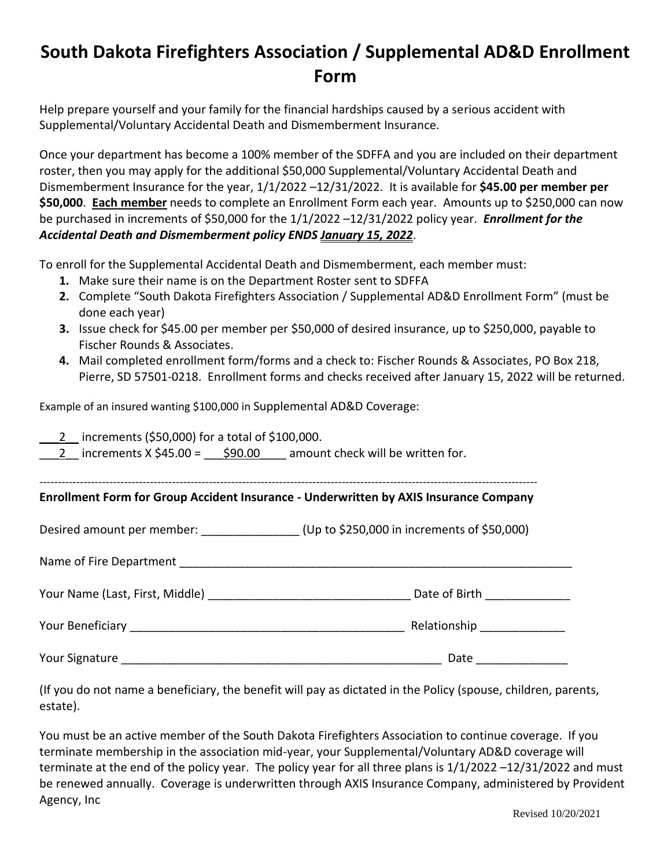# **South Dakota Firefighters Association / Supplemental AD&D Enrollment Form**

Help prepare yourself and your family for the financial hardships caused by a serious accident with Supplemental/Voluntary Accidental Death and Dismemberment Insurance.

Once your department has become a 100% member of the SDFFA and you are included on their department roster, then you may apply for the additional \$50,000 Supplemental/Voluntary Accidental Death and Dismemberment Insurance for the year, 1/1/2022 –12/31/2022. It is available for **\$45.00 per member per \$50,000**. **Each member** needs to complete an Enrollment Form each year. Amounts up to \$250,000 can now be purchased in increments of \$50,000 for the 1/1/2022 –12/31/2022 policy year. *Enrollment for the Accidental Death and Dismemberment policy ENDS January 15, 2022*.

To enroll for the Supplemental Accidental Death and Dismemberment, each member must:

- **1.** Make sure their name is on the Department Roster sent to SDFFA
- **2.** Complete "South Dakota Firefighters Association / Supplemental AD&D Enrollment Form" (must be done each year)
- **3.** Issue check for \$45.00 per member per \$50,000 of desired insurance, up to \$250,000, payable to Fischer Rounds & Associates.
- **4.** Mail completed enrollment form/forms and a check to: Fischer Rounds & Associates, PO Box 218, Pierre, SD 57501-0218. Enrollment forms and checks received after January 15, 2022 will be returned.

Example of an insured wanting \$100,000 in Supplemental AD&D Coverage:

\_\_\_2\_\_ increments (\$50,000) for a total of \$100,000.

2 increments  $X \, \$45.00 = \$90.00$  amount check will be written for.

---------------------------------------------------------------------------------------------------------------------------------------

**Enrollment Form for Group Accident Insurance - Underwritten by AXIS Insurance Company** 

Desired amount per member: \_\_\_\_\_\_\_\_\_\_\_\_\_\_\_ (Up to \$250,000 in increments of \$50,000)

Name of Fire Department **Name** of Fire Department

| Your Name (Last, First, Middle) | Date of Birth |  |
|---------------------------------|---------------|--|
|                                 |               |  |

Your Beneficiary \_\_\_\_\_\_\_\_\_\_\_\_\_\_\_\_\_\_\_\_\_\_\_\_\_\_\_\_\_\_\_\_\_\_\_\_\_\_\_\_\_\_ Relationship \_\_\_\_\_\_\_\_\_\_\_\_\_

Your Signature \_\_\_\_\_\_\_\_\_\_\_\_\_\_\_\_\_\_\_\_\_\_\_\_\_\_\_\_\_\_\_\_\_\_\_\_\_\_\_\_\_\_\_\_\_\_\_\_\_ Date \_\_\_\_\_\_\_\_\_\_\_\_\_\_

(If you do not name a beneficiary, the benefit will pay as dictated in the Policy (spouse, children, parents, estate).

You must be an active member of the South Dakota Firefighters Association to continue coverage. If you terminate membership in the association mid-year, your Supplemental/Voluntary AD&D coverage will terminate at the end of the policy year. The policy year for all three plans is 1/1/2022 –12/31/2022 and must be renewed annually. Coverage is underwritten through AXIS Insurance Company, administered by Provident Agency, Inc